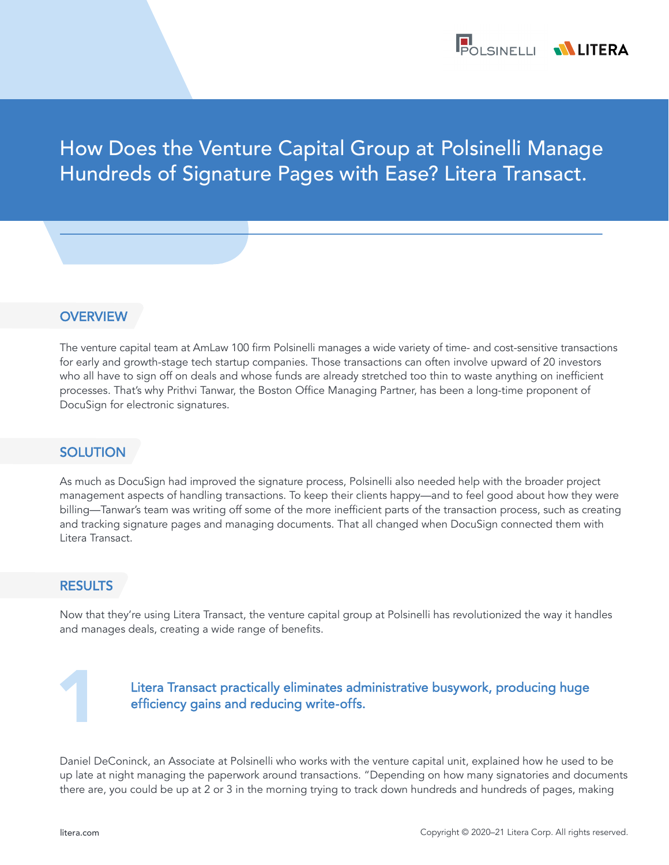

# How Does the Venture Capital Group at Polsinelli Manage Hundreds of Signature Pages with Ease? Litera Transact.

## **OVERVIEW**

The venture capital team at AmLaw 100 firm Polsinelli manages a wide variety of time- and cost-sensitive transactions for early and growth-stage tech startup companies. Those transactions can often involve upward of 20 investors who all have to sign off on deals and whose funds are already stretched too thin to waste anything on inefficient processes. That's why Prithvi Tanwar, the Boston Office Managing Partner, has been a long-time proponent of DocuSign for electronic signatures.

## **SOLUTION**

As much as DocuSign had improved the signature process, Polsinelli also needed help with the broader project management aspects of handling transactions. To keep their clients happy—and to feel good about how they were billing—Tanwar's team was writing off some of the more inefficient parts of the transaction process, such as creating and tracking signature pages and managing documents. That all changed when DocuSign connected them with Litera Transact.

## RESULTS

Now that they're using Litera Transact, the venture capital group at Polsinelli has revolutionized the way it handles and manages deals, creating a wide range of benefits.

## Litera Transact practically eliminates administrative busywork, producing huge efficiency gains and reducing write-offs.

Daniel DeConinck, an Associate at Polsinelli who works with the venture capital unit, explained how he used to be up late at night managing the paperwork around transactions. "Depending on how many signatories and documents there are, you could be up at 2 or 3 in the morning trying to track down hundreds and hundreds of pages, making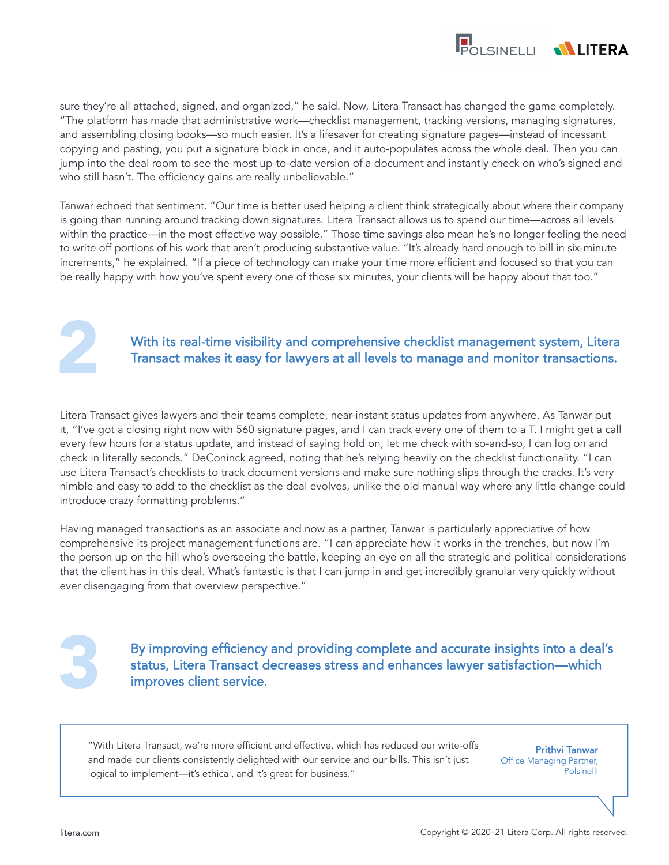

sure they're all attached, signed, and organized," he said. Now, Litera Transact has changed the game completely. "The platform has made that administrative work—checklist management, tracking versions, managing signatures, and assembling closing books—so much easier. It's a lifesaver for creating signature pages—instead of incessant copying and pasting, you put a signature block in once, and it auto-populates across the whole deal. Then you can jump into the deal room to see the most up-to-date version of a document and instantly check on who's signed and who still hasn't. The efficiency gains are really unbelievable."

Tanwar echoed that sentiment. "Our time is better used helping a client think strategically about where their company is going than running around tracking down signatures. Litera Transact allows us to spend our time—across all levels within the practice—in the most effective way possible." Those time savings also mean he's no longer feeling the need to write off portions of his work that aren't producing substantive value. "It's already hard enough to bill in six-minute increments," he explained. "If a piece of technology can make your time more efficient and focused so that you can be really happy with how you've spent every one of those six minutes, your clients will be happy about that too."



## With its real-time visibility and comprehensive checklist management system, Litera Transact makes it easy for lawyers at all levels to manage and monitor transactions.

Litera Transact gives lawyers and their teams complete, near-instant status updates from anywhere. As Tanwar put it, "I've got a closing right now with 560 signature pages, and I can track every one of them to a T. I might get a call every few hours for a status update, and instead of saying hold on, let me check with so-and-so, I can log on and check in literally seconds." DeConinck agreed, noting that he's relying heavily on the checklist functionality. "I can use Litera Transact's checklists to track document versions and make sure nothing slips through the cracks. It's very nimble and easy to add to the checklist as the deal evolves, unlike the old manual way where any little change could introduce crazy formatting problems."

Having managed transactions as an associate and now as a partner, Tanwar is particularly appreciative of how comprehensive its project management functions are. "I can appreciate how it works in the trenches, but now I'm the person up on the hill who's overseeing the battle, keeping an eye on all the strategic and political considerations that the client has in this deal. What's fantastic is that I can jump in and get incredibly granular very quickly without ever disengaging from that overview perspective."

By improving efficiency and providing complete and accurate insights into a deal's status, Litera Transact decreases stress and enhances lawyer satisfaction—which improves client service.

"With Litera Transact, we're more efficient and effective, which has reduced our write-offs and made our clients consistently delighted with our service and our bills. This isn't just logical to implement—it's ethical, and it's great for business."

Prithvi Tanwar Office Managing Partner, Polsinelli